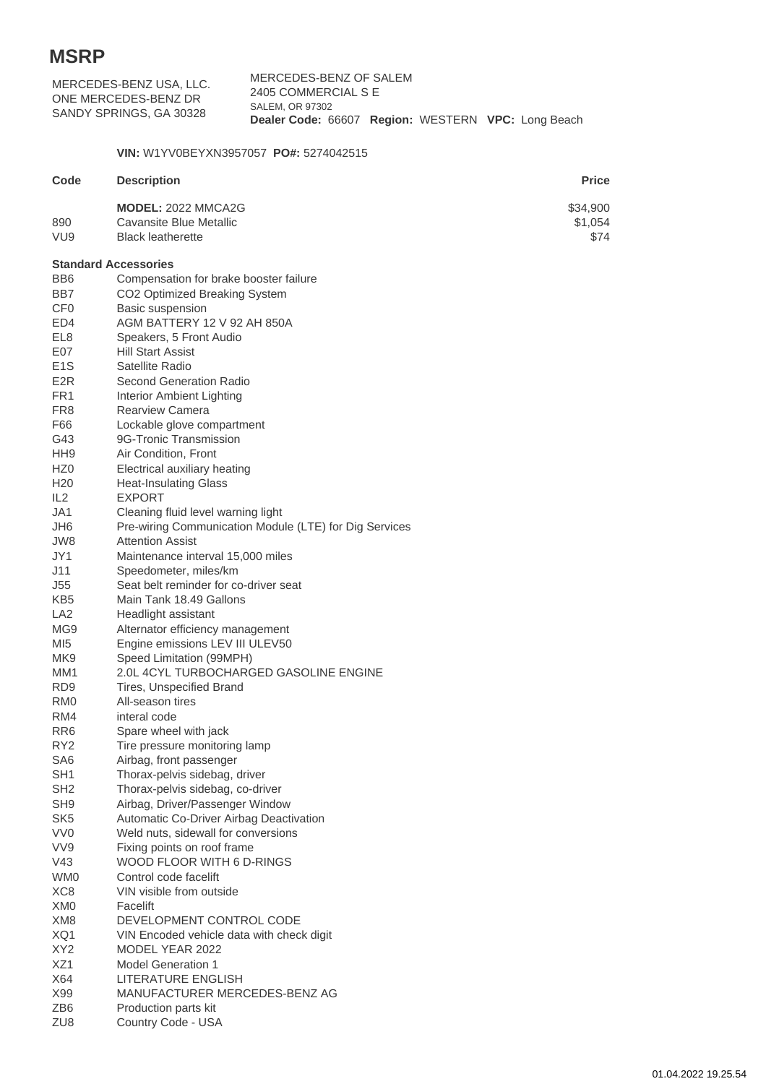| MERCEDES-BENZ USA, LLC.<br>ONE MERCEDES-BENZ DR |                                                                                              | MERCEDES-BENZ OF SALEM<br>2405 COMMERCIAL S E<br><b>SALEM, OR 97302</b> |  |  |  |  |                             |  |
|-------------------------------------------------|----------------------------------------------------------------------------------------------|-------------------------------------------------------------------------|--|--|--|--|-----------------------------|--|
|                                                 | SANDY SPRINGS, GA 30328                                                                      | Dealer Code: 66607 Region: WESTERN VPC: Long Beach                      |  |  |  |  |                             |  |
|                                                 | VIN: W1YV0BEYXN3957057 PO#: 5274042515                                                       |                                                                         |  |  |  |  |                             |  |
| Code                                            | <b>Description</b>                                                                           |                                                                         |  |  |  |  | <b>Price</b>                |  |
| 890<br>VU <sub>9</sub>                          | <b>MODEL: 2022 MMCA2G</b><br>Cavansite Blue Metallic<br><b>Black leatherette</b>             |                                                                         |  |  |  |  | \$34,900<br>\$1,054<br>\$74 |  |
| <b>Standard Accessories</b>                     |                                                                                              |                                                                         |  |  |  |  |                             |  |
| BB <sub>6</sub>                                 | Compensation for brake booster failure                                                       |                                                                         |  |  |  |  |                             |  |
| BB7                                             | CO2 Optimized Breaking System                                                                |                                                                         |  |  |  |  |                             |  |
| CF <sub>0</sub>                                 | Basic suspension                                                                             |                                                                         |  |  |  |  |                             |  |
| ED4                                             | AGM BATTERY 12 V 92 AH 850A                                                                  |                                                                         |  |  |  |  |                             |  |
| EL8                                             | Speakers, 5 Front Audio                                                                      |                                                                         |  |  |  |  |                             |  |
| E07                                             | <b>Hill Start Assist</b>                                                                     |                                                                         |  |  |  |  |                             |  |
| E <sub>1</sub> S<br>E <sub>2R</sub>             | Satellite Radio<br><b>Second Generation Radio</b>                                            |                                                                         |  |  |  |  |                             |  |
| FR <sub>1</sub>                                 |                                                                                              |                                                                         |  |  |  |  |                             |  |
| FR <sub>8</sub>                                 | Interior Ambient Lighting<br><b>Rearview Camera</b>                                          |                                                                         |  |  |  |  |                             |  |
| F66                                             | Lockable glove compartment                                                                   |                                                                         |  |  |  |  |                             |  |
| G43                                             | 9G-Tronic Transmission                                                                       |                                                                         |  |  |  |  |                             |  |
| HH <sub>9</sub>                                 | Air Condition, Front                                                                         |                                                                         |  |  |  |  |                             |  |
| HZ <sub>0</sub>                                 | Electrical auxiliary heating                                                                 |                                                                         |  |  |  |  |                             |  |
| H <sub>20</sub>                                 | <b>Heat-Insulating Glass</b>                                                                 |                                                                         |  |  |  |  |                             |  |
| IL2                                             | <b>EXPORT</b>                                                                                |                                                                         |  |  |  |  |                             |  |
| JA1<br>JH <sub>6</sub>                          | Cleaning fluid level warning light<br>Pre-wiring Communication Module (LTE) for Dig Services |                                                                         |  |  |  |  |                             |  |
| JW8                                             | <b>Attention Assist</b>                                                                      |                                                                         |  |  |  |  |                             |  |
| JY1                                             | Maintenance interval 15,000 miles                                                            |                                                                         |  |  |  |  |                             |  |
| J11                                             | Speedometer, miles/km                                                                        |                                                                         |  |  |  |  |                             |  |
| J55                                             | Seat belt reminder for co-driver seat                                                        |                                                                         |  |  |  |  |                             |  |
| KB <sub>5</sub>                                 | Main Tank 18.49 Gallons                                                                      |                                                                         |  |  |  |  |                             |  |
| LA <sub>2</sub>                                 | Headlight assistant                                                                          |                                                                         |  |  |  |  |                             |  |
| MG <sub>9</sub>                                 | Alternator efficiency management                                                             |                                                                         |  |  |  |  |                             |  |
| MI <sub>5</sub>                                 | Engine emissions LEV III ULEV50                                                              |                                                                         |  |  |  |  |                             |  |
| MK <sub>9</sub><br>MM1                          | Speed Limitation (99MPH)<br>2.0L 4CYL TURBOCHARGED GASOLINE ENGINE                           |                                                                         |  |  |  |  |                             |  |
| RD <sub>9</sub>                                 | Tires, Unspecified Brand                                                                     |                                                                         |  |  |  |  |                             |  |
| RM <sub>0</sub>                                 | All-season tires                                                                             |                                                                         |  |  |  |  |                             |  |
| RM4                                             | interal code                                                                                 |                                                                         |  |  |  |  |                             |  |
| RR <sub>6</sub>                                 | Spare wheel with jack                                                                        |                                                                         |  |  |  |  |                             |  |
| RY <sub>2</sub>                                 | Tire pressure monitoring lamp                                                                |                                                                         |  |  |  |  |                             |  |
| SA <sub>6</sub>                                 | Airbag, front passenger                                                                      |                                                                         |  |  |  |  |                             |  |
| SH <sub>1</sub>                                 | Thorax-pelvis sidebag, driver                                                                |                                                                         |  |  |  |  |                             |  |
| SH <sub>2</sub><br>SH <sub>9</sub>              | Thorax-pelvis sidebag, co-driver                                                             |                                                                         |  |  |  |  |                             |  |
| SK <sub>5</sub>                                 | Airbag, Driver/Passenger Window<br>Automatic Co-Driver Airbag Deactivation                   |                                                                         |  |  |  |  |                             |  |
| VV <sub>0</sub>                                 | Weld nuts, sidewall for conversions                                                          |                                                                         |  |  |  |  |                             |  |
| VV9                                             | Fixing points on roof frame                                                                  |                                                                         |  |  |  |  |                             |  |
| V43                                             | WOOD FLOOR WITH 6 D-RINGS                                                                    |                                                                         |  |  |  |  |                             |  |
| WM0                                             | Control code facelift                                                                        |                                                                         |  |  |  |  |                             |  |
| XC8                                             | VIN visible from outside                                                                     |                                                                         |  |  |  |  |                             |  |
| XM <sub>0</sub>                                 | Facelift                                                                                     |                                                                         |  |  |  |  |                             |  |
| XM8                                             | DEVELOPMENT CONTROL CODE                                                                     |                                                                         |  |  |  |  |                             |  |
| XQ1                                             | VIN Encoded vehicle data with check digit                                                    |                                                                         |  |  |  |  |                             |  |
| XY <sub>2</sub><br>XZ1                          | MODEL YEAR 2022<br><b>Model Generation 1</b>                                                 |                                                                         |  |  |  |  |                             |  |
| X64                                             | LITERATURE ENGLISH                                                                           |                                                                         |  |  |  |  |                             |  |
| X99                                             | MANUFACTURER MERCEDES-BENZ AG                                                                |                                                                         |  |  |  |  |                             |  |
| ZB6                                             | Production parts kit                                                                         |                                                                         |  |  |  |  |                             |  |
| ZU8                                             | Country Code - USA                                                                           |                                                                         |  |  |  |  |                             |  |